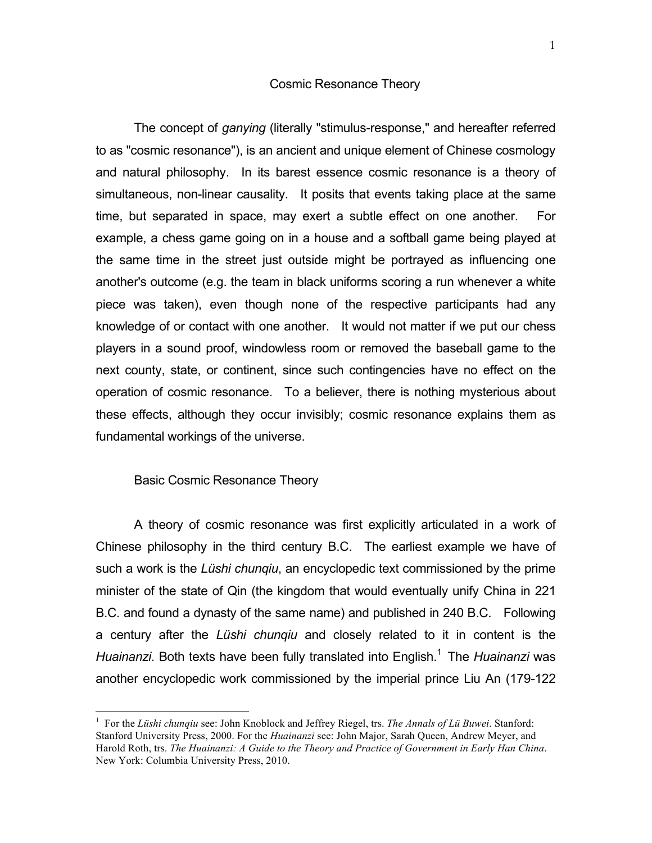## Cosmic Resonance Theory

The concept of *ganying* (literally "stimulus-response," and hereafter referred to as "cosmic resonance"), is an ancient and unique element of Chinese cosmology and natural philosophy. In its barest essence cosmic resonance is a theory of simultaneous, non-linear causality. It posits that events taking place at the same time, but separated in space, may exert a subtle effect on one another. For example, a chess game going on in a house and a softball game being played at the same time in the street just outside might be portrayed as influencing one another's outcome (e.g. the team in black uniforms scoring a run whenever a white piece was taken), even though none of the respective participants had any knowledge of or contact with one another. It would not matter if we put our chess players in a sound proof, windowless room or removed the baseball game to the next county, state, or continent, since such contingencies have no effect on the operation of cosmic resonance. To a believer, there is nothing mysterious about these effects, although they occur invisibly; cosmic resonance explains them as fundamental workings of the universe.

## Basic Cosmic Resonance Theory

A theory of cosmic resonance was first explicitly articulated in a work of Chinese philosophy in the third century B.C. The earliest example we have of such a work is the *Lüshi chunqiu*, an encyclopedic text commissioned by the prime minister of the state of Qin (the kingdom that would eventually unify China in 221 B.C. and found a dynasty of the same name) and published in 240 B.C. Following a century after the *Lüshi chunqiu* and closely related to it in content is the *Huainanzi*. Both texts have been fully translated into English.<sup>1</sup> The *Huainanzi* was another encyclopedic work commissioned by the imperial prince Liu An (179-122

 <sup>1</sup> For the *Lüshi chunqiu* see: John Knoblock and Jeffrey Riegel, trs. *The Annals of Lü Buwei*. Stanford: Stanford University Press, 2000. For the *Huainanzi* see: John Major, Sarah Queen, Andrew Meyer, and Harold Roth, trs. *The Huainanzi: A Guide to the Theory and Practice of Government in Early Han China*. New York: Columbia University Press, 2010.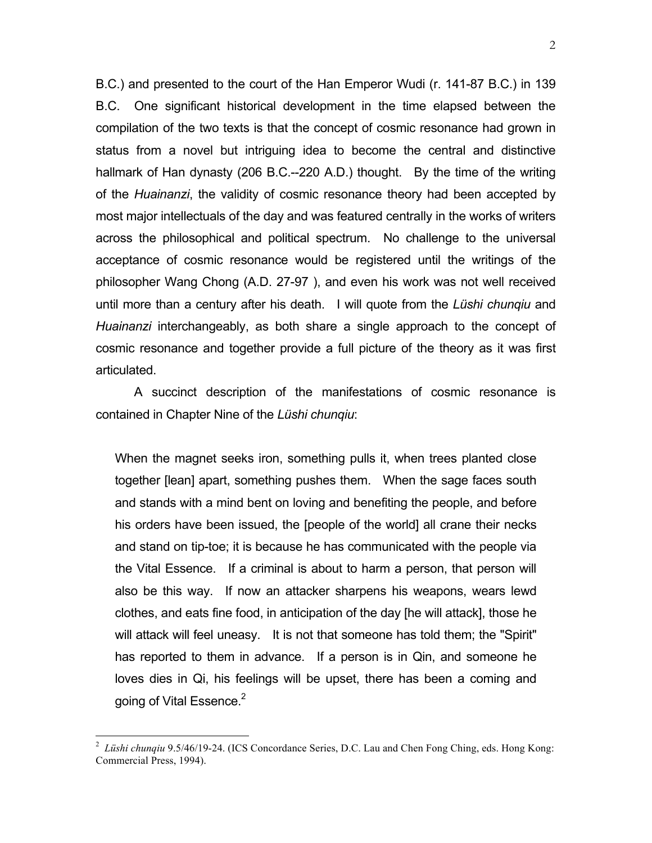B.C.) and presented to the court of the Han Emperor Wudi (r. 141-87 B.C.) in 139 B.C. One significant historical development in the time elapsed between the compilation of the two texts is that the concept of cosmic resonance had grown in status from a novel but intriguing idea to become the central and distinctive hallmark of Han dynasty (206 B.C.--220 A.D.) thought. By the time of the writing of the *Huainanzi*, the validity of cosmic resonance theory had been accepted by most major intellectuals of the day and was featured centrally in the works of writers across the philosophical and political spectrum. No challenge to the universal acceptance of cosmic resonance would be registered until the writings of the philosopher Wang Chong (A.D. 27-97 ), and even his work was not well received until more than a century after his death. I will quote from the *Lüshi chunqiu* and *Huainanzi* interchangeably, as both share a single approach to the concept of cosmic resonance and together provide a full picture of the theory as it was first articulated.

A succinct description of the manifestations of cosmic resonance is contained in Chapter Nine of the *Lüshi chunqiu*:

When the magnet seeks iron, something pulls it, when trees planted close together [lean] apart, something pushes them. When the sage faces south and stands with a mind bent on loving and benefiting the people, and before his orders have been issued, the [people of the world] all crane their necks and stand on tip-toe; it is because he has communicated with the people via the Vital Essence. If a criminal is about to harm a person, that person will also be this way. If now an attacker sharpens his weapons, wears lewd clothes, and eats fine food, in anticipation of the day [he will attack], those he will attack will feel uneasy. It is not that someone has told them; the "Spirit" has reported to them in advance. If a person is in Qin, and someone he loves dies in Qi, his feelings will be upset, there has been a coming and going of Vital Essence.<sup>2</sup>

<sup>&</sup>lt;sup>2</sup> Lüshi chunqiu 9.5/46/19-24. (ICS Concordance Series, D.C. Lau and Chen Fong Ching, eds. Hong Kong: Commercial Press, 1994).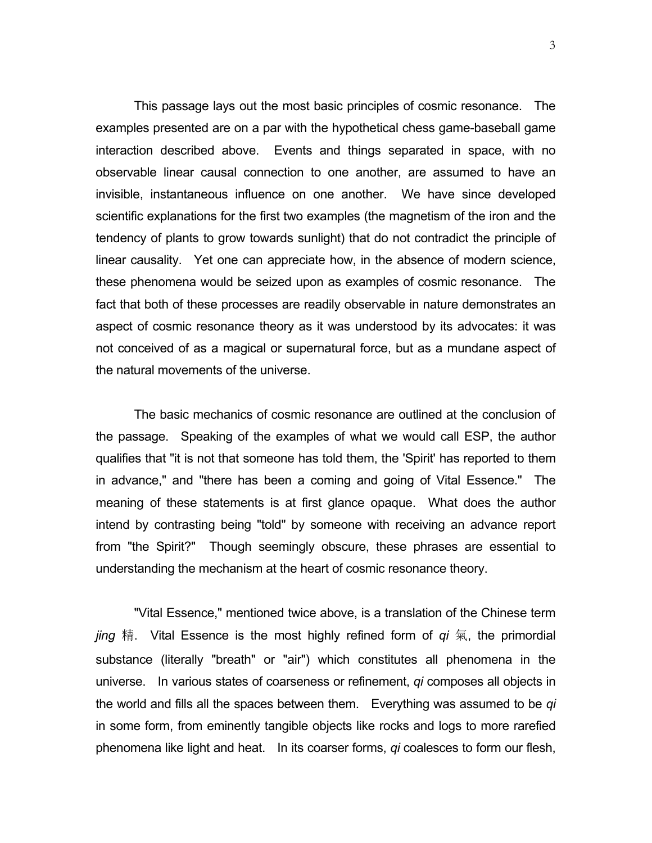This passage lays out the most basic principles of cosmic resonance. The examples presented are on a par with the hypothetical chess game-baseball game interaction described above. Events and things separated in space, with no observable linear causal connection to one another, are assumed to have an invisible, instantaneous influence on one another. We have since developed scientific explanations for the first two examples (the magnetism of the iron and the tendency of plants to grow towards sunlight) that do not contradict the principle of linear causality. Yet one can appreciate how, in the absence of modern science, these phenomena would be seized upon as examples of cosmic resonance. The fact that both of these processes are readily observable in nature demonstrates an aspect of cosmic resonance theory as it was understood by its advocates: it was not conceived of as a magical or supernatural force, but as a mundane aspect of the natural movements of the universe.

The basic mechanics of cosmic resonance are outlined at the conclusion of the passage. Speaking of the examples of what we would call ESP, the author qualifies that "it is not that someone has told them, the 'Spirit' has reported to them in advance," and "there has been a coming and going of Vital Essence." The meaning of these statements is at first glance opaque. What does the author intend by contrasting being "told" by someone with receiving an advance report from "the Spirit?" Though seemingly obscure, these phrases are essential to understanding the mechanism at the heart of cosmic resonance theory.

"Vital Essence," mentioned twice above, is a translation of the Chinese term *jing* 精. Vital Essence is the most highly refined form of *qi* 氣, the primordial substance (literally "breath" or "air") which constitutes all phenomena in the universe. In various states of coarseness or refinement, *qi* composes all objects in the world and fills all the spaces between them. Everything was assumed to be *qi* in some form, from eminently tangible objects like rocks and logs to more rarefied phenomena like light and heat. In its coarser forms, *qi* coalesces to form our flesh,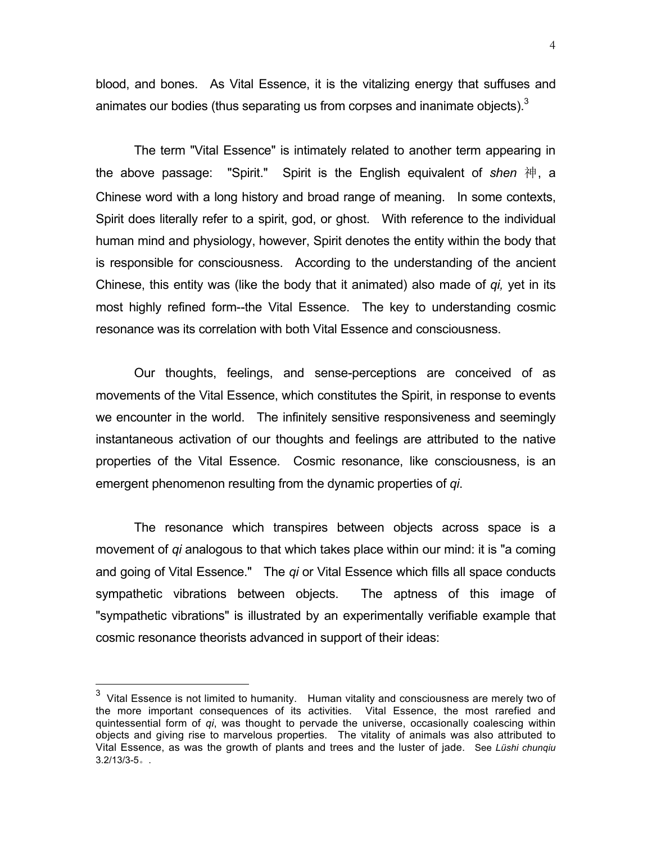blood, and bones. As Vital Essence, it is the vitalizing energy that suffuses and animates our bodies (thus separating us from corpses and inanimate objects). $3$ 

The term "Vital Essence" is intimately related to another term appearing in the above passage: "Spirit." Spirit is the English equivalent of *shen* 神, a Chinese word with a long history and broad range of meaning. In some contexts, Spirit does literally refer to a spirit, god, or ghost. With reference to the individual human mind and physiology, however, Spirit denotes the entity within the body that is responsible for consciousness. According to the understanding of the ancient Chinese, this entity was (like the body that it animated) also made of *qi,* yet in its most highly refined form--the Vital Essence. The key to understanding cosmic resonance was its correlation with both Vital Essence and consciousness.

Our thoughts, feelings, and sense-perceptions are conceived of as movements of the Vital Essence, which constitutes the Spirit, in response to events we encounter in the world. The infinitely sensitive responsiveness and seemingly instantaneous activation of our thoughts and feelings are attributed to the native properties of the Vital Essence. Cosmic resonance, like consciousness, is an emergent phenomenon resulting from the dynamic properties of *qi*.

The resonance which transpires between objects across space is a movement of *qi* analogous to that which takes place within our mind: it is "a coming and going of Vital Essence." The *qi* or Vital Essence which fills all space conducts sympathetic vibrations between objects. The aptness of this image of "sympathetic vibrations" is illustrated by an experimentally verifiable example that cosmic resonance theorists advanced in support of their ideas:

 $3$  Vital Essence is not limited to humanity. Human vitality and consciousness are merely two of the more important consequences of its activities. Vital Essence, the most rarefied and quintessential form of *qi*, was thought to pervade the universe, occasionally coalescing within objects and giving rise to marvelous properties. The vitality of animals was also attributed to Vital Essence, as was the growth of plants and trees and the luster of jade. See *Lüshi chunqiu* 3.2/13/3-5。.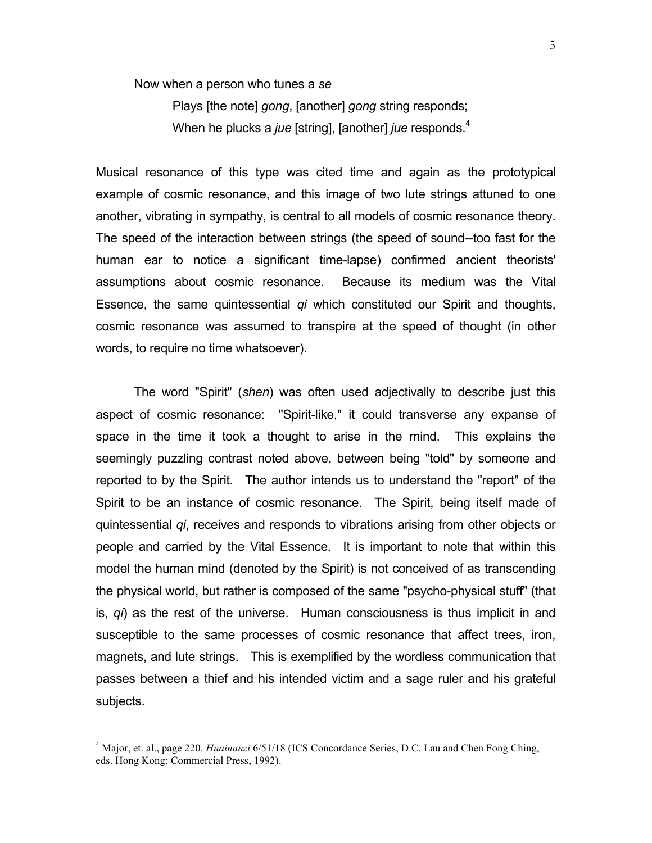Now when a person who tunes a *se*

Plays [the note] *gong*, [another] *gong* string responds; When he plucks a *jue* [string], [another] *jue* responds.4

Musical resonance of this type was cited time and again as the prototypical example of cosmic resonance, and this image of two lute strings attuned to one another, vibrating in sympathy, is central to all models of cosmic resonance theory. The speed of the interaction between strings (the speed of sound--too fast for the human ear to notice a significant time-lapse) confirmed ancient theorists' assumptions about cosmic resonance. Because its medium was the Vital Essence, the same quintessential *qi* which constituted our Spirit and thoughts, cosmic resonance was assumed to transpire at the speed of thought (in other words, to require no time whatsoever).

The word "Spirit" (*shen*) was often used adjectivally to describe just this aspect of cosmic resonance: "Spirit-like," it could transverse any expanse of space in the time it took a thought to arise in the mind. This explains the seemingly puzzling contrast noted above, between being "told" by someone and reported to by the Spirit. The author intends us to understand the "report" of the Spirit to be an instance of cosmic resonance. The Spirit, being itself made of quintessential *qi*, receives and responds to vibrations arising from other objects or people and carried by the Vital Essence. It is important to note that within this model the human mind (denoted by the Spirit) is not conceived of as transcending the physical world, but rather is composed of the same "psycho-physical stuff" (that is, *qi*) as the rest of the universe. Human consciousness is thus implicit in and susceptible to the same processes of cosmic resonance that affect trees, iron, magnets, and lute strings. This is exemplified by the wordless communication that passes between a thief and his intended victim and a sage ruler and his grateful subjects.

 <sup>4</sup> Major, et. al., page 220. *Huainanzi* 6/51/18 (ICS Concordance Series, D.C. Lau and Chen Fong Ching, eds. Hong Kong: Commercial Press, 1992).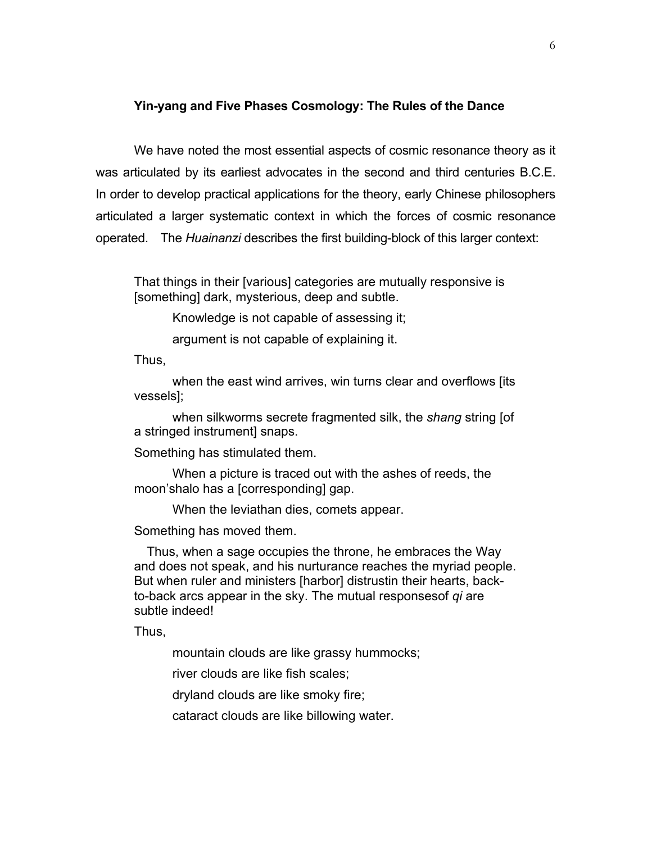## **Yin-yang and Five Phases Cosmology: The Rules of the Dance**

We have noted the most essential aspects of cosmic resonance theory as it was articulated by its earliest advocates in the second and third centuries B.C.E. In order to develop practical applications for the theory, early Chinese philosophers articulated a larger systematic context in which the forces of cosmic resonance operated. The *Huainanzi* describes the first building-block of this larger context:

That things in their [various] categories are mutually responsive is [something] dark, mysterious, deep and subtle.

Knowledge is not capable of assessing it;

argument is not capable of explaining it.

Thus,

when the east wind arrives, win turns clear and overflows [its vessels];

when silkworms secrete fragmented silk, the *shang* string [of a stringed instrument] snaps.

Something has stimulated them.

When a picture is traced out with the ashes of reeds, the moon'shalo has a [corresponding] gap.

When the leviathan dies, comets appear.

Something has moved them.

 Thus, when a sage occupies the throne, he embraces the Way and does not speak, and his nurturance reaches the myriad people. But when ruler and ministers [harbor] distrustin their hearts, backto-back arcs appear in the sky. The mutual responsesof *qi* are subtle indeed!

Thus,

mountain clouds are like grassy hummocks;

river clouds are like fish scales;

dryland clouds are like smoky fire;

cataract clouds are like billowing water.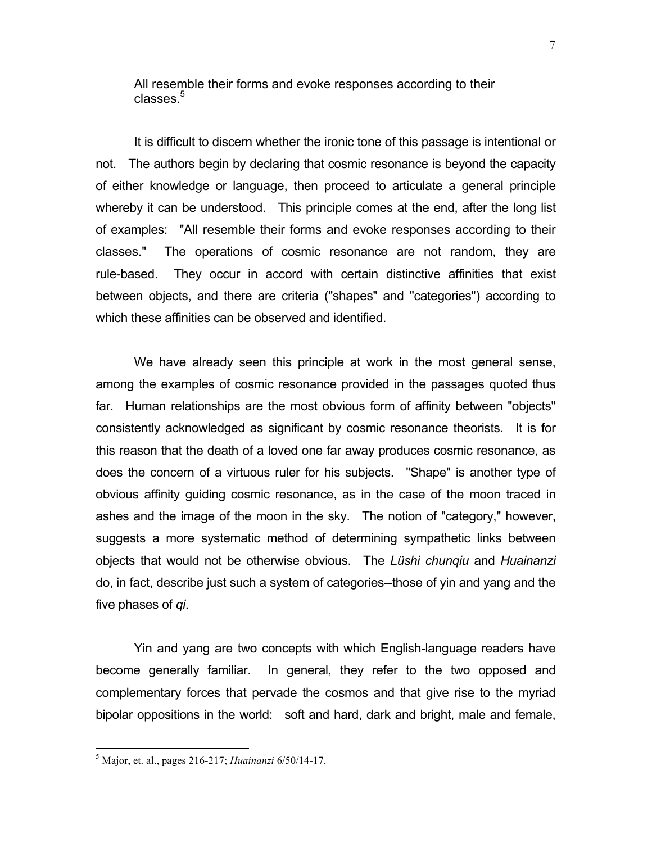All resemble their forms and evoke responses according to their  $classes.<sup>5</sup>$ 

 It is difficult to discern whether the ironic tone of this passage is intentional or not. The authors begin by declaring that cosmic resonance is beyond the capacity of either knowledge or language, then proceed to articulate a general principle whereby it can be understood. This principle comes at the end, after the long list of examples: "All resemble their forms and evoke responses according to their classes." The operations of cosmic resonance are not random, they are rule-based. They occur in accord with certain distinctive affinities that exist between objects, and there are criteria ("shapes" and "categories") according to which these affinities can be observed and identified.

We have already seen this principle at work in the most general sense, among the examples of cosmic resonance provided in the passages quoted thus far. Human relationships are the most obvious form of affinity between "objects" consistently acknowledged as significant by cosmic resonance theorists. It is for this reason that the death of a loved one far away produces cosmic resonance, as does the concern of a virtuous ruler for his subjects. "Shape" is another type of obvious affinity guiding cosmic resonance, as in the case of the moon traced in ashes and the image of the moon in the sky. The notion of "category," however, suggests a more systematic method of determining sympathetic links between objects that would not be otherwise obvious. The *Lüshi chunqiu* and *Huainanzi*  do, in fact, describe just such a system of categories--those of yin and yang and the five phases of *qi*.

Yin and yang are two concepts with which English-language readers have become generally familiar. In general, they refer to the two opposed and complementary forces that pervade the cosmos and that give rise to the myriad bipolar oppositions in the world: soft and hard, dark and bright, male and female,

 <sup>5</sup> Major, et. al., pages 216-217; *Huainanzi* 6/50/14-17.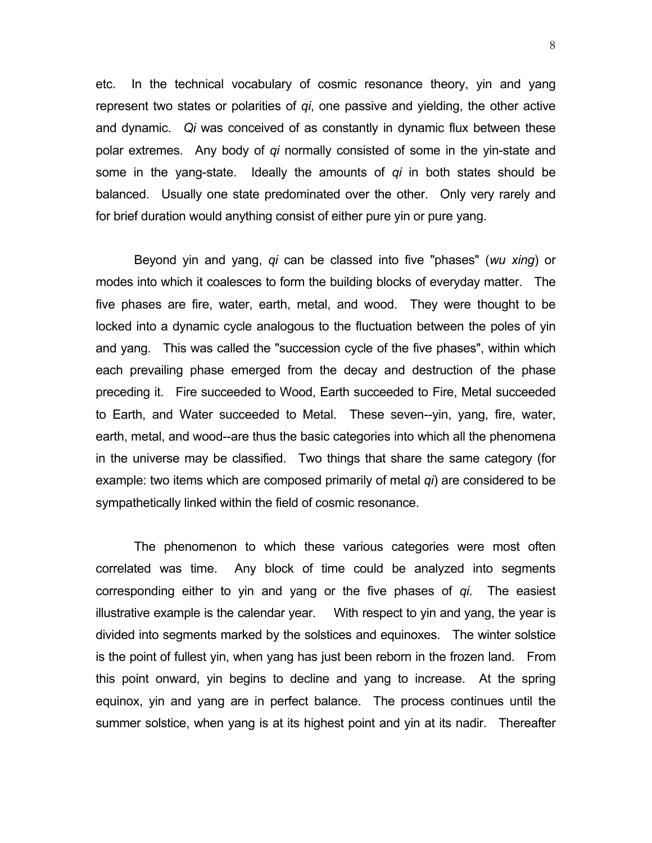etc. In the technical vocabulary of cosmic resonance theory, yin and yang represent two states or polarities of *qi*, one passive and yielding, the other active and dynamic. *Qi* was conceived of as constantly in dynamic flux between these polar extremes. Any body of *qi* normally consisted of some in the yin-state and some in the yang-state. Ideally the amounts of *qi* in both states should be balanced. Usually one state predominated over the other. Only very rarely and for brief duration would anything consist of either pure yin or pure yang.

Beyond yin and yang, *qi* can be classed into five "phases" (*wu xing*) or modes into which it coalesces to form the building blocks of everyday matter. The five phases are fire, water, earth, metal, and wood. They were thought to be locked into a dynamic cycle analogous to the fluctuation between the poles of yin and yang. This was called the "succession cycle of the five phases", within which each prevailing phase emerged from the decay and destruction of the phase preceding it. Fire succeeded to Wood, Earth succeeded to Fire, Metal succeeded to Earth, and Water succeeded to Metal. These seven--yin, yang, fire, water, earth, metal, and wood--are thus the basic categories into which all the phenomena in the universe may be classified. Two things that share the same category (for example: two items which are composed primarily of metal *qi*) are considered to be sympathetically linked within the field of cosmic resonance.

The phenomenon to which these various categories were most often correlated was time. Any block of time could be analyzed into segments corresponding either to yin and yang or the five phases of *qi*. The easiest illustrative example is the calendar year. With respect to yin and yang, the year is divided into segments marked by the solstices and equinoxes. The winter solstice is the point of fullest yin, when yang has just been reborn in the frozen land. From this point onward, yin begins to decline and yang to increase. At the spring equinox, yin and yang are in perfect balance. The process continues until the summer solstice, when yang is at its highest point and yin at its nadir. Thereafter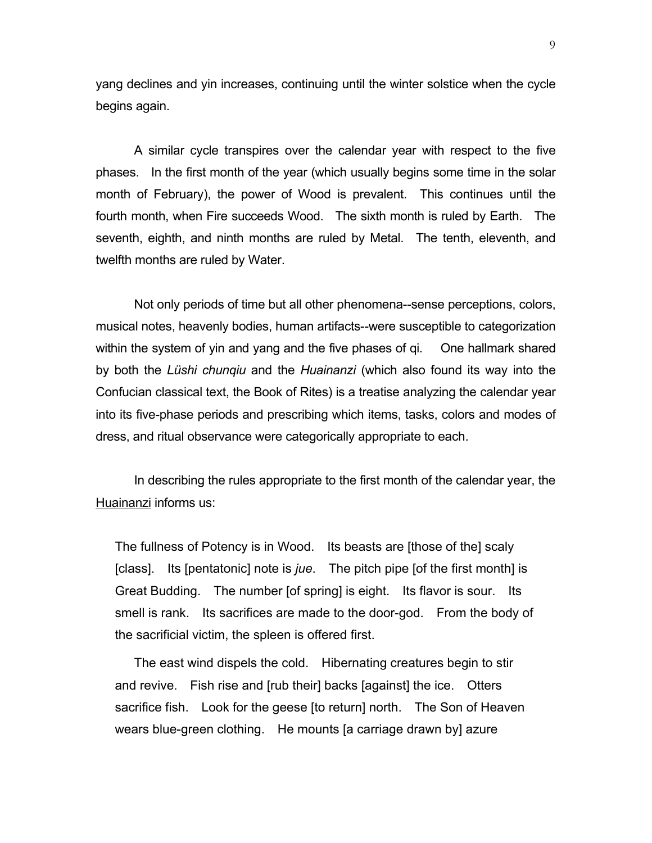yang declines and yin increases, continuing until the winter solstice when the cycle begins again.

A similar cycle transpires over the calendar year with respect to the five phases. In the first month of the year (which usually begins some time in the solar month of February), the power of Wood is prevalent. This continues until the fourth month, when Fire succeeds Wood. The sixth month is ruled by Earth. The seventh, eighth, and ninth months are ruled by Metal. The tenth, eleventh, and twelfth months are ruled by Water.

Not only periods of time but all other phenomena--sense perceptions, colors, musical notes, heavenly bodies, human artifacts--were susceptible to categorization within the system of yin and yang and the five phases of qi. One hallmark shared by both the *Lüshi chunqiu* and the *Huainanzi* (which also found its way into the Confucian classical text, the Book of Rites) is a treatise analyzing the calendar year into its five-phase periods and prescribing which items, tasks, colors and modes of dress, and ritual observance were categorically appropriate to each.

In describing the rules appropriate to the first month of the calendar year, the Huainanzi informs us:

The fullness of Potency is in Wood. Its beasts are [those of the] scaly [class]. Its [pentatonic] note is *jue*. The pitch pipe [of the first month] is Great Budding. The number [of spring] is eight. Its flavor is sour. Its smell is rank. Its sacrifices are made to the door-god. From the body of the sacrificial victim, the spleen is offered first.

The east wind dispels the cold. Hibernating creatures begin to stir and revive. Fish rise and [rub their] backs [against] the ice. Otters sacrifice fish. Look for the geese [to return] north. The Son of Heaven wears blue-green clothing. He mounts [a carriage drawn by] azure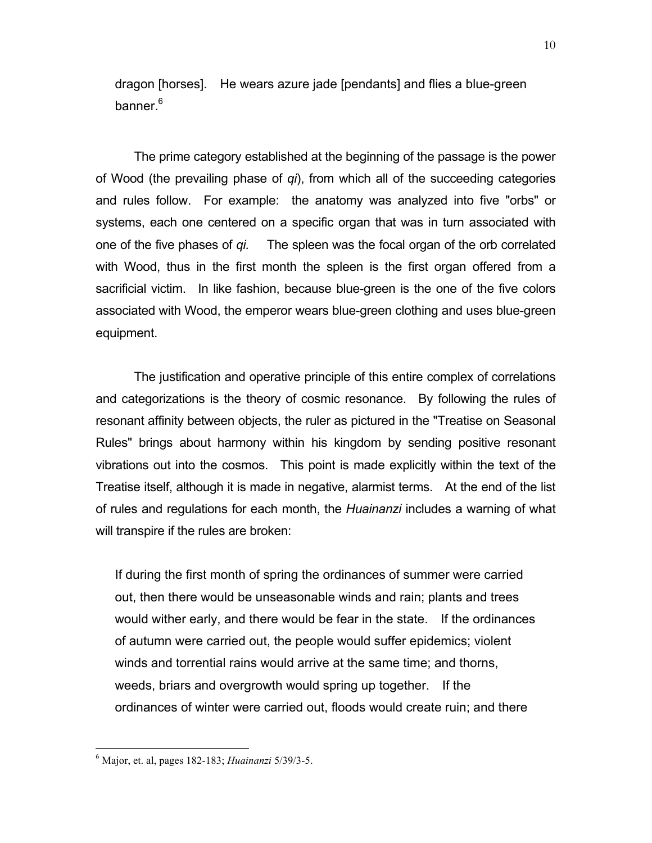dragon [horses]. He wears azure jade [pendants] and flies a blue-green banner. 6

The prime category established at the beginning of the passage is the power of Wood (the prevailing phase of *qi*), from which all of the succeeding categories and rules follow. For example: the anatomy was analyzed into five "orbs" or systems, each one centered on a specific organ that was in turn associated with one of the five phases of *qi.* The spleen was the focal organ of the orb correlated with Wood, thus in the first month the spleen is the first organ offered from a sacrificial victim. In like fashion, because blue-green is the one of the five colors associated with Wood, the emperor wears blue-green clothing and uses blue-green equipment.

The justification and operative principle of this entire complex of correlations and categorizations is the theory of cosmic resonance. By following the rules of resonant affinity between objects, the ruler as pictured in the "Treatise on Seasonal Rules" brings about harmony within his kingdom by sending positive resonant vibrations out into the cosmos. This point is made explicitly within the text of the Treatise itself, although it is made in negative, alarmist terms. At the end of the list of rules and regulations for each month, the *Huainanzi* includes a warning of what will transpire if the rules are broken:

If during the first month of spring the ordinances of summer were carried out, then there would be unseasonable winds and rain; plants and trees would wither early, and there would be fear in the state. If the ordinances of autumn were carried out, the people would suffer epidemics; violent winds and torrential rains would arrive at the same time; and thorns, weeds, briars and overgrowth would spring up together. If the ordinances of winter were carried out, floods would create ruin; and there

 <sup>6</sup> Major, et. al, pages 182-183; *Huainanzi* 5/39/3-5.